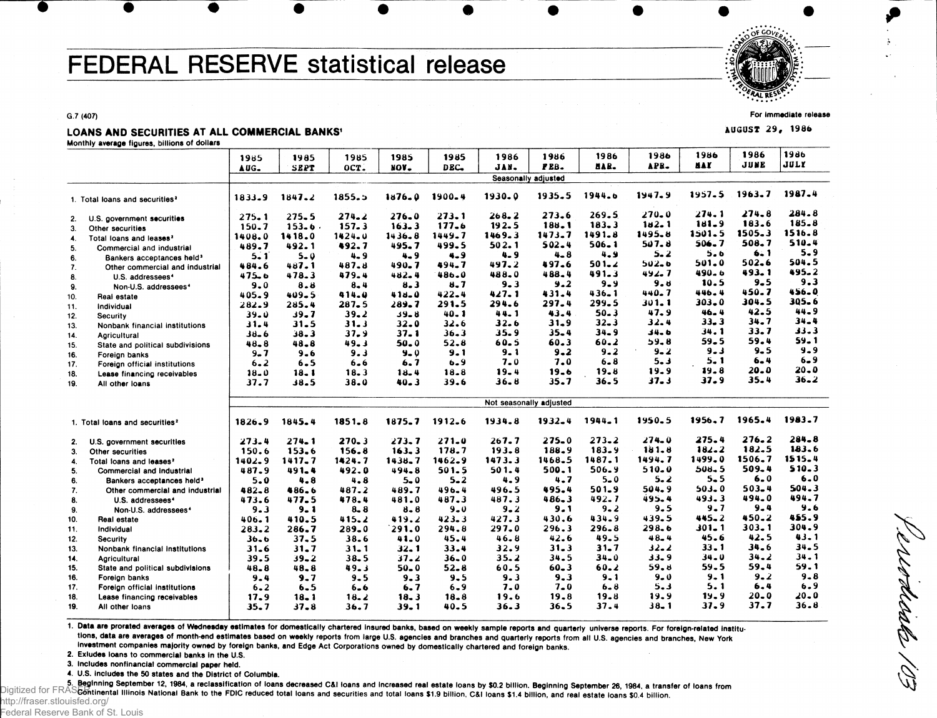# FEDERAL RESERVE statistical release



**For immediate release**

**AUGUST 29, 1986** 

LOANS AND SECURITIES AT ALL COMMERCIAL BANKS'

**Monthly average figures, billions of dollars**

**G.7 (407)**

| wommy average ngures, pimons or conars             |            |            |            |            |            |            |                         |           |            |            |           |            |
|----------------------------------------------------|------------|------------|------------|------------|------------|------------|-------------------------|-----------|------------|------------|-----------|------------|
|                                                    | 1985       | 1985       | 1985       | 1985       | 1985       | 1986       | 1986                    | 1986      | 1986       | 1986       | 1986      | 1986       |
|                                                    | AUG.       | SEPT       | $OCT$ .    | NON-       | DEC.       | JAN.       | PEB.                    | HAR.      | APB.       | n a p      | JUNE      | JULY       |
|                                                    |            |            |            |            |            |            | Seasonally adjusted     |           |            |            |           |            |
| 1. Total loans and securities <sup>2</sup>         | 1833.9     | 1847.2     | 1855.5     | $1876 - 0$ | 1900-4     | $1930 - 0$ | 1935.5                  | 1944.6    | $1947 - 9$ | 1957.5     | 1963.7    | 1987.4     |
| U.S. government securities<br>2.                   | 275.1      | 275.5      | 274.2      | $276 - 0$  | 273.1      | 268.2      | 273.6                   | 269.5     | 270.0      | 274.1      | 274.8     | 284.8      |
| 3.<br>Other securities                             | $150 - 7$  | 153.6.     | 157.3      | 163.3      | 177.6      | 192.5      | 188.1                   | $183 - 3$ | 182.1      | 181.9      | 183.6     | $185 - 8$  |
| Total loans and leases <sup>2</sup><br>4.          | 1408.0     | 1418.0     | $1424 - 0$ | 1436.8     | $1449 - 7$ | 1469.3     | 1473.7                  | 1491.8    | 1495.8     | $1501 - 5$ | 1505.3    | 1516.8     |
| 5.<br>Commercial and industrial                    | 489.7      | 492.1      | 492.7      | 495.7      | 499.5      | 502.1      | $502 - 4$               | $506 - 1$ | 507.8      | 506.7      | 508.7     | 510.4      |
| 6.<br>Bankers acceptances held <sup>3</sup>        | $5 - 1$    | $5 - 0$    | $4 - 9$    | $4 - 9$    | 4.9        | 4.9        | $4 - 8$                 | $4 - 9$   | $5 - 2$    | 5.6        | 6.1       | $5 - 9$    |
| $\mathcal{I}$ .<br>Other commercial and industrial | 484.6      | 487.1      | 487.8      | 490.7      | 494.7      | 497.2      | 497.6                   | $501 - 2$ | $502 - 6$  | 501.0      | 502.6     | 504.5      |
| 8.<br>U.S. addressees <sup>4</sup>                 | 475.6      | 478.3      | 479.4      | 482.4      | 486.0      | 488.0      | 488.4                   | $491 - 3$ | 492.7      | 490.6      | 493.1     | 495.2      |
| 9.<br>Non-U.S. addressees <sup>4</sup>             | 9.0        | 8.8        | 8.4        | 8.3        | 8.7        | $9 - 3$    | 9.2                     | $9 - 9$   | 9. d       | 10.5       | $9 - 5$   | 9.3        |
| 10.<br>Real estate                                 | 405.9      | 409.5      | 414.0      | $418 - 0$  | $422 - 4$  | 427.1      | 431.4                   | $436 - 1$ | 440.7      | 446.4      | 450.7     | 456.0      |
| Individual<br>11.                                  | 282.9      | 285.4      | $287 - 5$  | 289.7      | 291.5      | 294.6      | 297.4                   | 299.5     | 30 1. 1    | $303 - 0$  | 304.5     | 305.6      |
| 12.<br>Security                                    | $39 - 0$   | 39.7       | $39 - 2$   | 39.8       | $40 - 1$   | 44.1       | 43.4                    | 50.3      | 47.9       | $46 - 4$   | 42.5      | 44.9       |
| 13.<br>Nonbank financial institutions              | 31.4       | 31.5       | 31.3       | 32.0       | 32.6       | $32 - 6$   | $31 - 9$                | $32 - 3$  | 32.4       | $33 - 3$   | $34 - 7$  | 34.4       |
| 14.<br>Agricultural                                | 38-6       | 38.3       | 37.9       | $37 - 1$   | 36.3       | 35.9       | $35 - 4$                | $34 - 9$  | ه 14ء      | 34.1       | 33.7      | 33.3       |
| 15.<br>State and political subdivisions            | $48 - 8$   | 48.8       | 49.3       | 50.0       | 52.8       | 60.5       | 60.3                    | $60 - 2$  | 59.8       | 59.5       | 59.4      | 59. 1      |
| 16.<br>Foreign banks                               | $9 - 7$    | 9.6        | 9.3        | $9 - 0$    | 9.1        | $9 - 1$    | $9 - 2$                 | $9 - 2$   | $9 - 2$    | $9 - 3$    | $9 - 5$   | 9.9        |
| 17.<br>Foreign official institutions               | $6 - 2$    | $6 - 5$    | $6 - 6$    | 6.7        | $6 - 9$    | $7 - 0$    | 7.0                     | $6 - 8$   | $5 - 3$    | $5 - 1$    | 6.4       | $6 - 9$    |
| 18.<br>Lease financing receivables                 | $18 - 0$   | 18.1       | 18.3       | 18.4       | 18.8       | 19.4       | 19.6                    | $19 - 8$  | 19.9       | 19.8       | 20.0      | 20.0       |
| 19.<br>All other loans                             | 37.7       | 38.5       | 38.0       | $40 - 3$   | 39.6       | $36 - 8$   | 35.7                    | 36.5      | $37 - 3$   | 37.9       | $35 - 4$  | $36 - 2$   |
|                                                    |            |            |            |            |            |            |                         |           |            |            |           |            |
|                                                    |            |            |            |            |            |            | Not seasonally adjusted |           |            |            |           |            |
| 1. Total loans and securities <sup>2</sup>         | 1826.9     | 1845.4     | 1851.8     | 1875.7     | 1912.6     | 1934.8     | $1932 - 4$              | 1944.1    | 1950.5     | 1956,7     | 1965.4    | 1983.7     |
| U.S. government securities<br>2.                   | 273.4      | $274 - 1$  | 270.3      | $273 - 7$  | $271 - 0$  | $267 - 7$  | $275 - 0$               | 273.2     | $274 - 0$  | 275.4      | 276.2     | 284.8      |
| 3.<br>Other securities                             | 150.6      | 153.6      | 156.8      | 163.3      | 178.7      | 193.8      | 188.9                   | 183.9     | 181.8      | $182 - 2$  | 182.5     | 183.6      |
| Total loans and leases?<br>4.                      | $1402 - 9$ | $1417 - 7$ | 1424.7     | $1438 - 7$ | $1462 - 9$ | 1473.3     | 1468.5                  | 1487.1    | 1494.7     | 1499.0     | 1506.7    | $1515 - 4$ |
| 5.<br>Commercial and industrial                    | 487.9      | 491.4      | 492.0      | 494.8      | 501.5      | 501.4      | 500.1                   | 506.9     | $510 - 0$  | $508 - 5$  | 509.4     | $510 - 3$  |
| 6.<br>Bankers acceptances held <sup>3</sup>        | 5.0        | $4 - 8$    | 4.8        | $5 - 0$    | $5 - 2$    | 4.9        | 4.7                     | $5 - 0$   | $5 - 2$    | $5 - 5$    | 6.0       | $6 - 0$    |
| 7.<br>Other commercial and industrial              | 482.8      | 486.6      | 487.2      | 489.7      | 496.4      | 496.5      | 495.4                   | 501.9     | 504.9      | 503.0      | $503 - 4$ | 504.3      |
| 8.<br>U.S. addressees <sup>4</sup>                 | 473.6      | 477.5      | 478.4      | 481.0      | 487.3      | 487.3      | $486 - 3$               | $492 - 7$ | 495.4      | 493.3      | 494.0     | 494.7      |
| 9.<br>Non-U.S. addressees <sup>4</sup>             | 9.3        | $9 - 1$    | $8 - 8$    | $8 - 8$    | $9 - 0$    | $9 - 2$    | 9.1                     | $9 - 2$   | 9.5        | 9.7        | 9.4       | 9.6        |
| Real estate<br>10.                                 | 406.1      | 410.5      | 415.2      | 419.2      | $423 - 3$  | 427.3      | 430.6                   | 434.9     | 439.5      | 445.2      | 450.2     | 455.9      |
| 11.<br>Individual                                  | $283 - 2$  | 286.7      | $289 - 0$  | 291.0      | 294.8      | 297.0      | 296.3                   | $296 - 8$ | 298.6      | $301 - 1$  | 303.1     | 304.9      |
| 12.<br>Security                                    | 36.6       | 37.5       | $38 - 6$   | 41.0       | 45.4       | 46.8       | 42.6                    | 49.5      | $48 - 4$   | 45.6       | 42.5      | 43.1       |
| 13.<br>Nonbank financial institutions              | 31.6       | $31 - 7$   | $31 - 1$   | 32. 1      | 33.4       | 32.9       | $31 - 3$                | $31 - 7$  | 32.2       | $33 - 1$   | $34 - 6$  | 34.5       |
| 14.<br>Agricultural                                | 39.5       | 39.2       | $38 - 5$   | $37 - 2$   | $36 - 0$   | $35 - 2$   | $34 - 5$                | $34 - 0$  | 33.9       | 34.0       | 34.2      | 34.1       |
| 15.<br>State and political subdivisions            | 48.8       | 48.8       | 49.3       | $50 - 0$   | 52.8       | 60.5       | $60 - 3$                | $60 - 2$  | 59. u      | 59.5       | 59.4      | 59.1       |
| 16.<br>Foreign banks                               | $9 - 4$    | $9 - 7$    | $9 - 5$    | $9 - 3$    | $9 - 5$    | $9 - 3$    | $9 - 3$                 | $9 - 1$   | $9 - 0$    | 9. 1       | $9 - 2$   | $9 - 8$    |
| 17.<br>Foreign official institutions               | $6 - 2$    | $6 - 5$    | 6.6        | 6.7        | $6 - 9$    | 7.0        | $7 - 0$                 | 6.8       | $5 - 3$    | 5.1        | 6.4       | 6.9        |
| 18.<br>Lease financing receivables                 | 17.9       | $18 - 1$   | 18.2       | 18.3       | $18 - 8$   | 19.6       | 19.8                    | 19.8      | 19.9       | 15.9       | 20.0      | 20.0       |
| 19.<br>All other loans                             | 35.7       | 37.8       | 36.7       | 39.1       | 40.5       | 36.3       | $36 - 5$                | 37.4      | $38 - 1$   | 37.9       | 37.7      | 36.8       |
|                                                    |            |            |            |            |            |            |                         |           |            |            |           |            |

1. Data are prorated averages of Wednesday estimates for domestically chartered insured banks, based on weekly sample reports and quarterly universe reports. For foreign-related institutions, data are averages of month-end estimates based on weekly reports from large U.S. agencies and branches and quarterly reports from all U.S. agencies and branches, New York investment companies majority owned by foreign banks, and Edge Act Corporations owned by domestically chartered and foreign banks.

**2. Exludes loans to commercial banks in the U.S.**

**3. Includes nonfinancial commercial paper held.**

**4. U.S. includes the 50 states and the District of Columbia.**

5. Beginning September 12, 1984, a reclassification of loans decreased C&I loans and increased real estate loans by \$0.2 billion. Beginning September 26, 1984, a transfer of loans from Digitized for FRASE of the ntal Illinois National Bank to the FDIC reduced total loans and securities and total loans \$1.9 billion, C&I loans \$1.4 billion, and real estate loans \$0.4 billion, http://fraser.stlouisfed.org/

Federal Reserve Bank of St. Louis

Worlds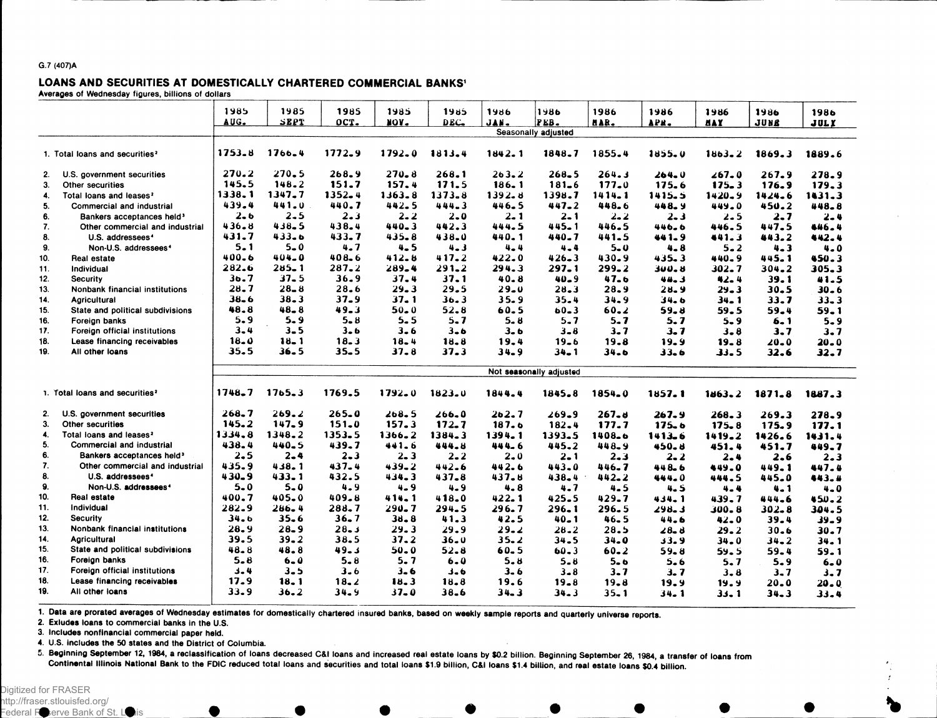#### **G.7 (407)A**

#### LOANS AND SECURITIES AT DOMESTICALLY CHARTERED COMMERCIAL BANKS'

**Averages of Wednesday figures, billions of dollars**

|     |                                            | 1985<br>AUG. | 1985<br>SEPT | 1985<br>OCT. | 1985<br>NOA" | 1985<br>DEC. | 1986     | 1986<br>FEB.            | 1986       | 1986      | 1986       | 1986     | 1986     |
|-----|--------------------------------------------|--------------|--------------|--------------|--------------|--------------|----------|-------------------------|------------|-----------|------------|----------|----------|
|     |                                            |              |              |              |              |              | JAN.     | Seasonally adjusted     | HAR.       | APR.      | <b>HAY</b> | JUNE     | JULY     |
|     |                                            |              |              |              |              |              |          |                         |            |           |            |          |          |
|     | 1. Total loans and securities <sup>2</sup> | 1753.8       | $1766 - 4$   | $1772 - 9$   | 1792.0       | 1813.4       | 1842.1   | 1848.7                  | 1855.4     | 1855.0    | $1863 - 2$ | 1869.3   | 1889.6   |
| 2.  | U.S. government securities                 | 270.2        | 270.5        | 268.9        | $270 - 8$    | 268.1        | 263.2    | 268.5                   | 264.3      | 264.0     | 267.0      | 267.9    | 278.9    |
| 3.  | <b>Other securities</b>                    | 145.5        | 148.2        | 151.7        | 157.4        | 171.5        | 186.1    | $181 - 6$               | 177.0      | 175.6     | $175 - 3$  | 176.9    | 179.3    |
| 4.  | Total loans and leases <sup>2</sup>        | 1338.1       | 1347.7       | 1352.4       | $1363 - 8$   | 1373.8       | 1392.8   | 1398.7                  | $1414 - 1$ | 1415.5    | $1420 - 9$ | 1424.6   | 1431.3   |
| 5.  | <b>Commercial and industrial</b>           | 439.4        | 441.0        | 440.7        | 442.5        | 444.3        | 446.5    | $447 - 2$               | 448.6      | 448.9     | 449.0      | 450.2    | 448.8    |
| 6.  | Bankers acceptances held <sup>3</sup>      | $2 - 6$      | $2 - 5$      | $2 - 3$      | $2 - 2$      | $2 - 0$      | $2 - 1$  | $2 - 1$                 | $2 - 2$    | $2 - 3$   | 2.5        | $2 - 7$  | $2 - 4$  |
| 7.  | Other commercial and industrial            | 436.8        | 438.5        | $438 - 4$    | $440 - 3$    | 442.3        | 444.5    | 445.1                   | 446.5      | 446.6     | 446.5      | 447.5    | 446.4    |
| 8.  | U.S. addressees <sup>4</sup>               | 431.7        | 433.6        | 433.7        | 435.8        | 438.0        | 440.1    | 440.7                   | 441.5      | $441 - 9$ | 441.3      | 443.2    | 442.4    |
| 9.  | Non-U.S. addressees <sup>4</sup>           | 5.1          | $5 - 0$      | 4.7          | $4 - 5$      | $4 - 3$      | 4.4      | $4 - 4$                 | $5 - 0$    | $4 - 8$   | $5 - 2$    | $4 - 3$  | $4 - 0$  |
| 10. | Real estate                                | 400.6        | $404 - 0$    | $408 - 6$    | $412 - 8$    | 417.2        | 422.0    | $426 - 3$               | 430.9      | $435 - 3$ | 440.9      | 445.1    | 450.3    |
| 11. | Individual                                 | 282.6        | 285.1        | $287 - 2$    | $289 - 4$    | $291 - 2$    | 294.3    | 297.1                   | $299 - 2$  | 300. 8    | $302 - 7$  | 304.2    | 305.3    |
| 12. | <b>Security</b>                            | 36.7         | $37 - 5$     | 36.9         | 37.4         | 37.1         | $40 - 8$ | $40 - 9$                | 47.6       | 44.3      | 42.4       | 39.1     | 41.5     |
| 13. | Nonbank financial institutions             | 28.7         | $28 - 8$     | 28.6         | $29 - 3$     | 29.5         | $29 - 0$ | $28 - 3$                | 28.9       | 28.9      | 29.3       | $30 - 5$ | $30 - 6$ |
| 14. | <b>Agricultural</b>                        | 38.6         | $38 - 3$     | $37 - 9$     | $37 - 1$     | 36.3         | 35.9     | 35.4                    | 34.9       | 34. b     | 34.1       | 33.7     | $33 - 3$ |
| 15. | State and political subdivisions           | 48.8         | $48 - 8$     | $49 - 3$     | $50 - 0$     | $52 - 8$     | 60.5     | $60 - 3$                | $60 - 2$   | $59 - 8$  | 59.5       | $59 - 4$ | $59 - 1$ |
| 16. | Foreign banks                              | $5 - 9$      | $5 - 9$      | $5 - 8$      | $5 - 5$      | $5 - 7$      | $5 - 8$  | $5 - 7$                 | $5 - 7$    | 5.7       | $5 - 9$    | $6 - 1$  | $5 - 9$  |
| 17. | Foreign official institutions              | $3 - 4$      | $3 - 5$      | $3 - 6$      | $3 - 6$      | $3 - 6$      | 3.6      | $3 - 8$                 | $3 - 7$    | 3. 7      | $3 - 8$    | 3.7      | $3 - 7$  |
| 18. | Lease financing receivables                | 18.0         | $18 - 1$     | 18.3         | $18 - 4$     | 18.8         | 19.4     | 19.6                    | 19.8       | 19.9      | 19.8       | 20.0     | $20 - 0$ |
| 19. | All other loans                            | 35.5         | $36 - 5$     | $35 - 5$     | 37.8         | 37.3         | $34 - 9$ | $34 - 1$                | $34 - 6$   | $33 - 6$  | 33.5       | 32.6     | 32.7     |
|     |                                            |              |              |              |              |              |          | Not seasonally adjusted |            |           |            |          |          |
|     |                                            |              |              |              |              |              |          |                         |            |           |            |          |          |
|     | 1. Total loans and securities <sup>2</sup> | 1748.7       | $1765 - 3$   | 1769.5       | 1792.0       | $1823 - 0$   | 1844.4   | 1845.8                  | 1854.0     | 1857.1    | 1463.2     | 1871.8   | 1887.3   |
| 2.  | U.S. government securities                 | $268 - 7$    | 269.2        | $265 - 0$    | $268 - 5$    | $266 - 0$    | 262.7    | $269 - 9$               | $267 - 6$  | $267 - 9$ | 268.3      | 269.3    | 278.9    |
| 3.  | Other securities                           | 145.2        | 147.9        | $151 - 0$    | 157.3        | 172.7        | 187.6    | $182 - 4$               | 177.7      | $175 - 6$ | $175 - 8$  | 175.9    | 177.1    |
| 4.  | Total loans and leases <sup>2</sup>        | 1334.8       | 1348.2       | 1353.5       | 1366.2       | 1384.3       | 1394.1   | 1393.5                  | 1408.6     | 1413.6    | 1419.2     | 1426.6   | 1431.4   |
| 5.  | Commercial and industrial                  | 438.4        | 440.5        | 439.7        | 441.6        | 444.8        | 444.6    | 445.2                   | 448.9      | 450.8     | 451.4      | 451.7    | 449.7    |
| 6.  | Bankers acceptances held <sup>3</sup>      | 2.5          | $2 - 4$      | $2 - 3$      | $2 - 3$      | $2 - 2$      | $2 - 0$  | $2 - 1$                 | $2 - 3$    | $2 - 2$   | $2 - 4$    | 2.6      | $2 - 3$  |
| 7.  | Other commercial and industrial            | 435.9        | $438 - 1$    | 437.4        | $439 - 2$    | 442.6        | 442.6    | 443.0                   | 446.7      | 448.6     | 449.0      | 449.1    | 447.4    |
| 8.  | U.S. addressees <sup>4</sup>               | 430.9        | 433.1        | 432.5        | 434.3        | $437 - 8$    | 437.8    | $438 - 4$               | $442 - 2$  | 444.0     | 444.5      | 445.0    | 443.4    |
| 9.  | Non-U.S. addressees <sup>4</sup>           | $5 - 0$      | $5 - 0$      | $4 - 9$      | $4 - 9$      | $4 - 9$      | $4 - 8$  | 4.7                     | 4.5        | 4.5       | $4 - 4$    | $4 - 1$  | $4 - 0$  |
| 10. | Real estate                                | 400.7        | $405 - 0$    | $409 - 8$    | 414.1        | 418.0        | 422.1    | $425 - 5$               | $429 - 7$  | $434 - 1$ | 439.7      | 444.6    | 450.2    |
| 11. | Individual                                 | 282.9        | 286.4        | 288.7        | $290 - 7$    | 294.5        | 296.7    | 296.1                   | 296.5      | 298.3     | 300. 8     | 302.8    | 304.5    |
| 12. | <b>Security</b>                            | $34 - 6$     | $35 - 6$     | $36 - 7$     | $38 - 8$     | 41.3         | 42.5     | $40 - 1$                | $46 - 5$   | 44.6      | $42 - 0$   | 39.4     | 39.9     |
| 13. | Nonbank financial institutions             | 28.9         | $28 - 9$     | $28 - 3$     | 29.3         | 29.9         | $29 - 2$ | 28.2                    | 28.5       | $28 - 8$  | $29 - 2$   | $30 - 6$ | $30 - 7$ |
| 14. | <b>Agricultural</b>                        | 39.5         | $39 - 2$     | 38.5         | 37.2         | $36 - 0$     | 35.2     | 34.5                    | 34.0       | 33.9      | 34.0       | 34.2     | 34.1     |
| 15. | State and political subdivisions           | 48.8         | 48.8         | 49.3         | $50 - 0$     | 52.8         | $60 - 5$ | 60.3                    | $60 - 2$   | $59 - 8$  | 59.5       | 59.4     | 59.1     |
| 16. | Foreign banks                              | $5 - 8$      | $6 - 0$      | $5 - 8$      | 5.7          | $6 - 0$      | $5 - 8$  | $5 - 8$                 | $5 - 6$    | $5 - 6$   | 5.7        | 5.9      | $6 - 0$  |
| 17. | Foreign official institutions              | 3.4          | 3.5          | $3 - 6$      | $3 - 6$      | ふっん          | $3 - 6$  | $3 - 8$                 | $3 - 7$    | 3.7       | $3 - 8$    | $3 - 7$  | $3 - 7$  |
| 18. | Lease financing receivables                | 17.9         | 18.1         | $18 - 2$     | 18.3         | 18.8         | 19.6     | $19 - 8$                | 19.8       | 19.9      | 19.9       | 20.0     | $20 - 0$ |
| 19. | All other loans                            | 33.9         | 36.2         | $34 - 9$     | $37 - 0$     | $38 - 6$     | $34 - 3$ | 34.3                    | 35.1       | 34. 1     | $33 - 1$   | $34 - 3$ | 33.4     |
|     |                                            |              |              |              |              |              |          |                         |            |           |            |          |          |

1. Data are prorated averages of Wednesday estimates for domestically chartered insured banks, based on weekly sample reports and quarterly universe reports.

**2. Exludes loans to commercial banks in the U.S.**

**3. Includes nonfinancial commercial paper held.**

**4. U.S. Includes the 50 states and the District of Columbia.**

5. Beginning September 12, 1984, a reclassification of loans decreased C&I loans and increased real estate loans by \$0.2 billion. Beginning September 26, 1984, a transfer of loans from Continental Illinois National Bank to the FDIC reduced total loans and securities and total loans \$1.9 billion, C&I loans \$1.4 billion, and real estate loans \$0.4 billion.

Digitized for FRASER http://fraser.stlouisfed.org/  $F$ ederal Reserve Bank of St. Louis